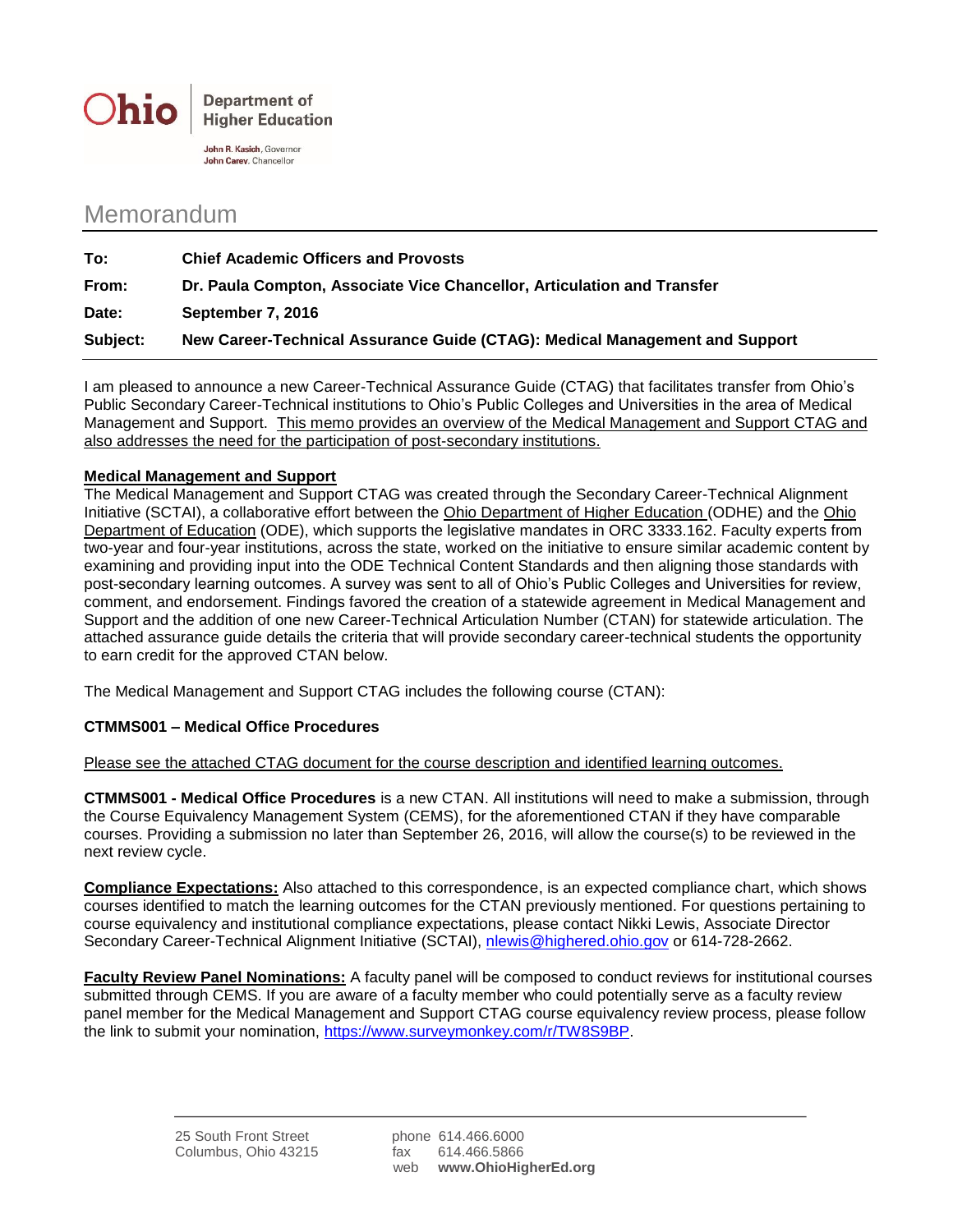

John R. Kasich, Governor John Carey, Chancellor

## Memorandum

| To:      | <b>Chief Academic Officers and Provosts</b>                                 |
|----------|-----------------------------------------------------------------------------|
| From:    | Dr. Paula Compton, Associate Vice Chancellor, Articulation and Transfer     |
| Date:    | September 7, 2016                                                           |
| Subject: | New Career-Technical Assurance Guide (CTAG): Medical Management and Support |

I am pleased to announce a new Career-Technical Assurance Guide (CTAG) that facilitates transfer from Ohio's Public Secondary Career-Technical institutions to Ohio's Public Colleges and Universities in the area of Medical Management and Support. This memo provides an overview of the Medical Management and Support CTAG and also addresses the need for the participation of post-secondary institutions.

## **Medical Management and Support**

The Medical Management and Support CTAG was created through the Secondary Career-Technical Alignment Initiative (SCTAI), a collaborative effort between the Ohio Department of Higher Education (ODHE) and the Ohio Department of Education (ODE), which supports the legislative mandates in ORC 3333.162. Faculty experts from two-year and four-year institutions, across the state, worked on the initiative to ensure similar academic content by examining and providing input into the ODE Technical Content Standards and then aligning those standards with post-secondary learning outcomes. A survey was sent to all of Ohio's Public Colleges and Universities for review, comment, and endorsement. Findings favored the creation of a statewide agreement in Medical Management and Support and the addition of one new Career-Technical Articulation Number (CTAN) for statewide articulation. The attached assurance guide details the criteria that will provide secondary career-technical students the opportunity to earn credit for the approved CTAN below.

The Medical Management and Support CTAG includes the following course (CTAN):

## **CTMMS001 – Medical Office Procedures**

Please see the attached CTAG document for the course description and identified learning outcomes.

**CTMMS001 - Medical Office Procedures** is a new CTAN. All institutions will need to make a submission, through the Course Equivalency Management System (CEMS), for the aforementioned CTAN if they have comparable courses. Providing a submission no later than September 26, 2016, will allow the course(s) to be reviewed in the next review cycle.

**Compliance Expectations:** Also attached to this correspondence, is an expected compliance chart, which shows courses identified to match the learning outcomes for the CTAN previously mentioned. For questions pertaining to course equivalency and institutional compliance expectations, please contact Nikki Lewis, Associate Director Secondary Career-Technical Alignment Initiative (SCTAI), [nlewis@highered.ohio.gov](mailto:nlewis@highered.ohio.gov) or 614-728-2662.

**Faculty Review Panel Nominations:** A faculty panel will be composed to conduct reviews for institutional courses submitted through CEMS. If you are aware of a faculty member who could potentially serve as a faculty review panel member for the Medical Management and Support CTAG course equivalency review process, please follow the link to submit your nomination, [https://www.surveymonkey.com/r/TW8S9BP.](https://www.surveymonkey.com/r/TW8S9BP)